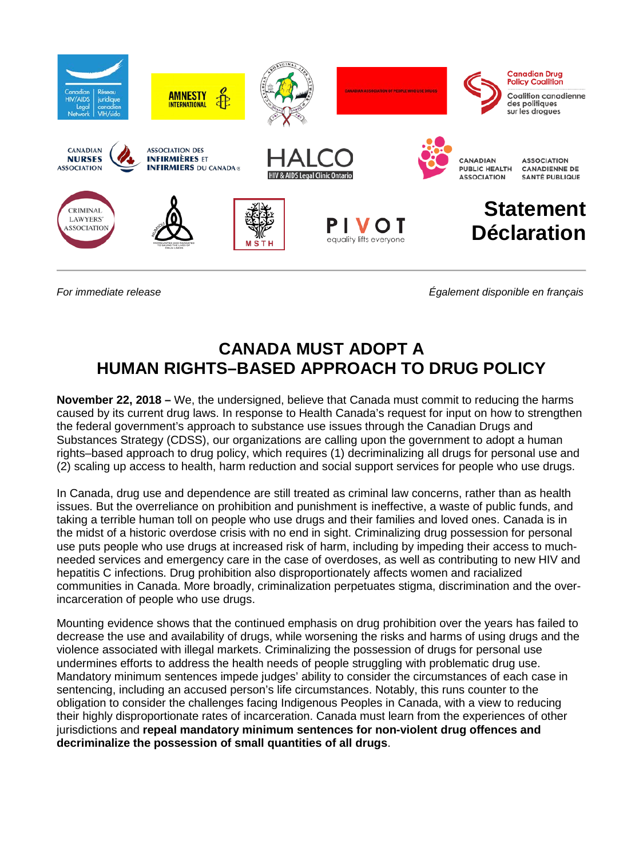

*For immediate release Également disponible en français*

## **CANADA MUST ADOPT A HUMAN RIGHTS–BASED APPROACH TO DRUG POLICY**

**November 22, 2018 –** We, the undersigned, believe that Canada must commit to reducing the harms caused by its current drug laws. In response to Health Canada's request for input on how to strengthen the federal government's approach to substance use issues through the Canadian Drugs and Substances Strategy (CDSS), our organizations are calling upon the government to adopt a human rights–based approach to drug policy, which requires (1) decriminalizing all drugs for personal use and (2) scaling up access to health, harm reduction and social support services for people who use drugs.

In Canada, drug use and dependence are still treated as criminal law concerns, rather than as health issues. But the overreliance on prohibition and punishment is ineffective, a waste of public funds, and taking a terrible human toll on people who use drugs and their families and loved ones. Canada is in the midst of a historic overdose crisis with no end in sight. Criminalizing drug possession for personal use puts people who use drugs at increased risk of harm, including by impeding their access to muchneeded services and emergency care in the case of overdoses, as well as contributing to new HIV and hepatitis C infections. Drug prohibition also disproportionately affects women and racialized communities in Canada. More broadly, criminalization perpetuates stigma, discrimination and the overincarceration of people who use drugs.

Mounting evidence shows that the continued emphasis on drug prohibition over the years has failed to decrease the use and availability of drugs, while worsening the risks and harms of using drugs and the violence associated with illegal markets. Criminalizing the possession of drugs for personal use undermines efforts to address the health needs of people struggling with problematic drug use. Mandatory minimum sentences impede judges' ability to consider the circumstances of each case in sentencing, including an accused person's life circumstances. Notably, this runs counter to the obligation to consider the challenges facing Indigenous Peoples in Canada, with a view to reducing their highly disproportionate rates of incarceration. Canada must learn from the experiences of other jurisdictions and **repeal mandatory minimum sentences for non-violent drug offences and decriminalize the possession of small quantities of all drugs**.